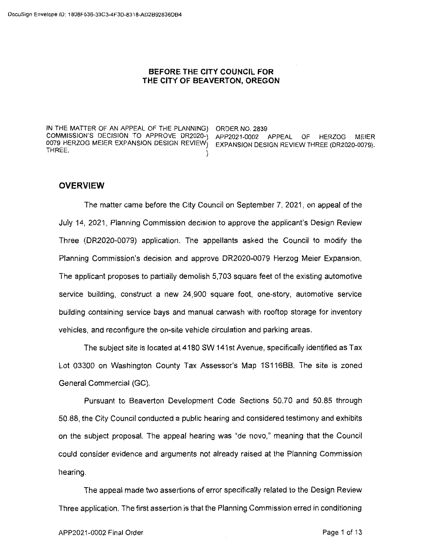#### **BEFORE THE CITY COUNCIL FOR THE CITY OF BEAVERTON, OREGON**

IN THE MATTER OF AN APPEAL OF THE PLANNING) ORDER NO. 2839 COMMISSION'S DECISION TO APPROVE DR2020-) APP2021-0002 APPEAL OF HERZOG MEIER THREE. )

EXPANSION DESIGN REVIEW THREE (DR2020-0079).

# **OVERVIEW**

The matter came before the City Council on September 7, 2021, on appeal of the July 14, 2021, Planning Commission decision to approve the applicant's Design Review Three (DR2020-0079) application. The appellants asked the Council to modify the Planning Commission's decision and approve DR2020-0079 Herzog Meier Expansion. The applicant proposes to partially demolish 5,703 square feet of the existing automotive service building, construct a new 24,900 square foot, one-story, automotive service building containing service bays and manual carwash with rooftop storage for inventory vehicles, and reconfigure the on-site vehicle circulation and parking areas.

The subject site is located at 4180 SW 141st Avenue, specifically identified as Tax Lot 03300 on Washington County Tax Assessor's Map 1S116BB. The site is zoned General Commercial (GC).

Pursuant to Beaverton Development Code Sections 50.70 and 50.85 through 50.88, the City Council conducted a public hearing and considered testimony and exhibits on the subject proposal. The appeal hearing was "de nova," meaning that the Council could consider evidence and arguments not already raised at the Planning Commission hearing.

The appeal made two assertions of error specifically related to the Design Review Three application. The first assertion is that the Planning Commission erred in conditioning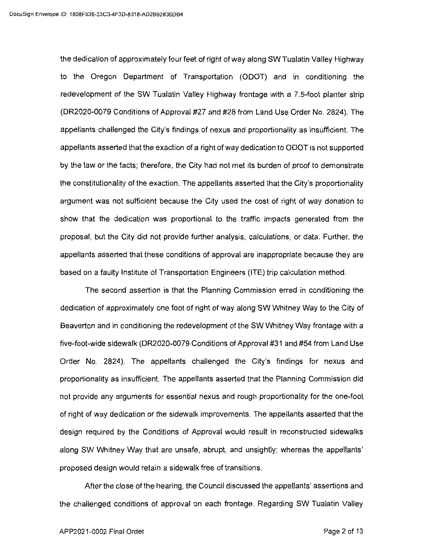the dedication of approximately four feet of right of way along SW Tualatin Valley Highway to the Oregon Department of Transportation (ODOT) and in conditioning the redevelopment of the SW Tualatin Valley Highway frontage with a 7.5-foot planter strip (DR2020-0079 Conditions of Approval #27 and #28 from Land Use Order No. 2824). The appellants challenged the City's findings of nexus and proportionality as insufficient. The appellants asserted that the exaction of a right of way dedication to ODOT is not supported by the law or the facts; therefore, the City had not met its burden of proof to demonstrate the constitutionality of the exaction. The appellants asserted that the City's proportionality argument was not sufficient because the City used the cost of right of way donation to show that the dedication was proportional to the traffic impacts generated from the proposal, but the City did not provide further analysis, calculations, or data. Further, the appellants asserted that these conditions of approval are inappropriate because they are based on a faulty Institute of Transportation Engineers (ITE) trip calculation method.

The second assertion is that the Planning Commission erred in conditioning the dedication of approximately one foot of right of way along SW Whitney Way to the City of Beaverton and in conditioning the redevelopment of the SW Whitney Way frontage with a five-foot-wide sidewalk (DR2020-0079 Conditions of Approval #31 and #54 from Land Use Order No. 2824). The appellants challenged the City's findings for nexus and proportionality as insufficient. The appellants asserted that the Planning Commission did not provide any arguments for essential nexus and rough proportionality for the one-foot of right of way dedication or the sidewalk improvements. The appellants asserted that the design required by the Conditions of Approval would result in reconstructed sidewalks along SW Whitney Way that are unsafe, abrupt, and unsightly; whereas the appellants' proposed design would retain a sidewalk free of transitions.

After the close of the hearing, the Council discussed the appellants' assertions and the challenged conditions of approval on each frontage. Regarding SW Tualatin Valley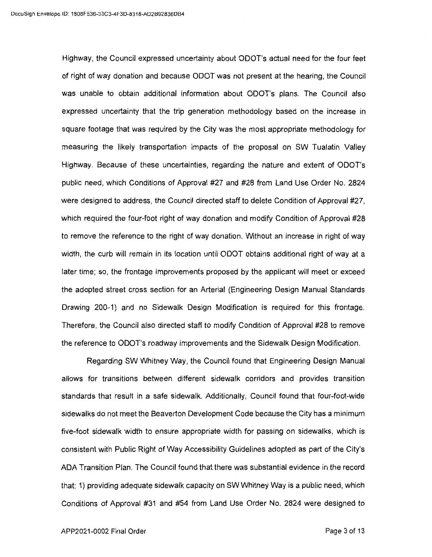Highway, the Council expressed uncertainty about ODOT's actual need for the four feet of right of way donation and because ODOT was not present at the hearing, the Council was unable to obtain additional information about ODOT's plans. The Council also expressed uncertainty that the trip generation methodology based on the increase in square footage that was required by the City was the most appropriate methodology for measuring the likely transportation impacts of the proposal on SW Tualatin Valley Highway. Because of these uncertainties, regarding the nature and extent of ODOT's public need, which Conditions of Approval #27 and #28 from Land Use Order No. 2824 were designed to address, the Council directed staff to delete Condition of Approval #27, which required the four-foot right of way donation and modify Condition of Approval #28 to remove the reference to the right of way donation. Without an increase in right of way width, the curb will remain in its location until ODOT obtains additional right of way at a later time; so, the frontage improvements proposed by the applicant will meet or exceed the adopted street cross section for an Arterial (Engineering Design Manual Standards Drawing 200-1) and no Sidewalk Design Modification is required for this frontage. Therefore, the Council also directed staff to modify Condition of Approval #28 to remove the reference to ODOT's roadway improvements and the Sidewalk Design Modification.

Regarding SW Whitney Way, the Council found that Engineering Design Manual allows for transitions between different sidewalk corridors and provides transition standards that result in a safe sidewalk. Additionally, Council found that four-foot-wide sidewalks do not meet the Beaverton Development Code because the City has a minimum five-foot sidewalk width to ensure appropriate width for passing on sidewalks, which is consistent with Public Right of Way Accessibility Guidelines adopted as part of the City's ADA Transition Plan. The Council found that there was substantial evidence in the record that: 1) providing adequate sidewalk capacity on SW Whitney Way is a public need, which Conditions of Approval #31 and #54 from Land Use Order No. 2824 were designed to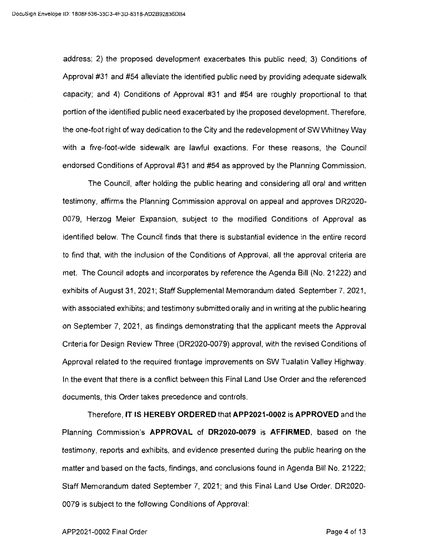address; 2) the proposed development exacerbates this public need; 3) Conditions of Approval #31 and #54 alleviate the identified public need by providing adequate sidewalk capacity; and 4) Conditions of Approval #31 and #54 are roughly proportional to that portion of the identified public need exacerbated by the proposed development. Therefore, the one-foot right of way dedication to the City and the redevelopment of SW Whitney Way with a five-foot-wide sidewalk are lawful exactions. For these reasons, the Council endorsed Conditions of Approval #31 and #54 as approved by the Planning Commission.

The Council, after holding the public hearing and considering all oral and written testimony, affirms the Planning Commission approval on appeal and approves DR2020- 0079, Herzog Meier Expansion, subject to the modified Conditions of Approval as identified below. The Council finds that there is substantial evidence in the entire record to find that, with the inclusion of the Conditions of Approval, all the approval criteria are met. The Council adopts and incorporates by reference the Agenda Bill (No. 21222) and exhibits of August 31, 2021; Staff Supplemental Memorandum dated September 7, 2021, with associated exhibits; and testimony submitted orally and in writing at the public hearing on September 7, 2021, as findings demonstrating that the applicant meets the Approval Criteria for Design Review Three (DR2020-0079) approval, with the revised Conditions of Approval related to the required frontage improvements on SW Tualatin Valley Highway. In the event that there is a conflict between this Final Land Use Order and the referenced documents, this Order takes precedence and controls.

Therefore, IT **IS HEREBY ORDERED** that **APP2021-0002 is APPROVED** and the Planning Commission's **APPROVAL of DR2020-0079 is AFFIRMED,** based on the testimony, reports and exhibits, and evidence presented during the public hearing on the matter and based on the facts, findings, and conclusions found in Agenda Bill No. 21222; Staff Memorandum dated September 7, 2021; and this Final Land Use Order. DR2020- 0079 is subject to the following Conditions of Approval: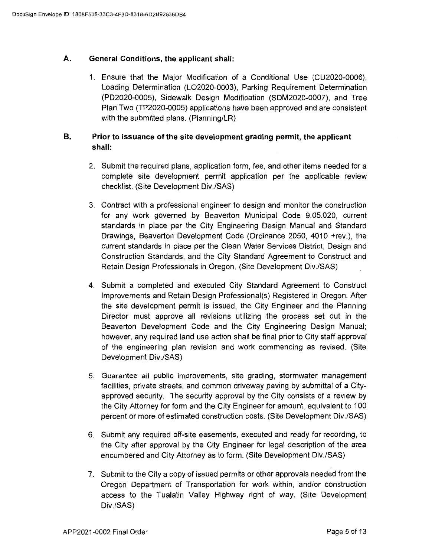## **A. General Conditions, the applicant shall:**

1. Ensure that the Major Modification of a Conditional Use (CU2020-0006), Loading Determination (LO2020-0003), Parking Requirement Determination (PD2020-0005), Sidewalk Design Modification (SDM2020-0007), and Tree Plan Two (TP2020-0005) applications have been approved and are consistent with the submitted plans. (Planning/LR)

## **B. Prior to issuance of the site development grading permit, the applicant shall:**

- 2. Submit the required plans, application form, fee, and other items needed for a complete site development permit application per the applicable review checklist. (Site Development Div./SAS)
- 3. Contract with a professional engineer to design and monitor the construction for any work governed by Beaverton Municipal Code 9.05.020, current standards in place per the City Engineering Design Manual and Standard Drawings, Beaverton Development Code (Ordinance 2050, 4010 +rev.), the current standards in place per the Clean Water Services District, Design and Construction Standards, and the City Standard Agreement to Construct and Retain Design Professionals in Oregon. (Site Development Div./SAS)
- 4. Submit a completed and executed City Standard Agreement to Construct Improvements and Retain Design Professional(s) Registered in Oregon. After the site development permit is issued, the City Engineer and the Planning Director must approve all revisions utilizing the process set out in the Beaverton Development Code and the City Engineering Design Manual; however, any required land use action shall be final prior to City staff approval of the engineering plan revision and work commencing as revised. (Site Development Div./SAS)
- 5. Guarantee all public improvements, site grading, stormwater management facilities, private streets, and common driveway paving by submittal of a Cityapproved security. The security approval by the City consists of a review by the City Attorney for form and the City Engineer for amount, equivalent to 100 percent or more of estimated construction costs. (Site Development Div./SAS)
- 6. Submit any required off-site easements, executed and ready for recording, to the City after approval by the City Engineer for legal description of the area encumbered and City Attorney as to form. (Site Development Div./SAS)
- 7. Submit to the City a copy of issued permits or other approvals needed from the Oregon Department of Transportation for work within, and/or construction access to the Tualatin Valley Highway right of way. (Site Development Div./SAS)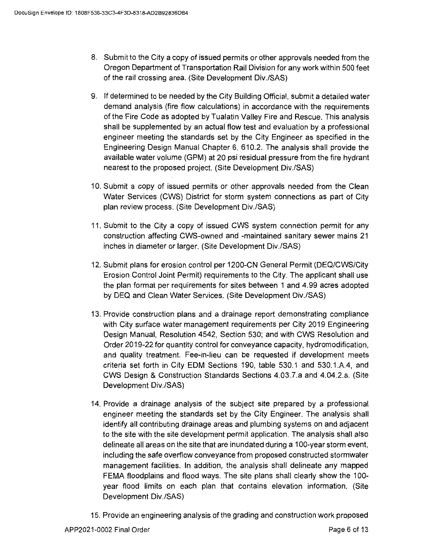- 8. Submit to the City a copy of issued permits or other approvals needed from the Oregon Department of Transportation Rail Division for any work within 500 feet of the rail crossing area. (Site Development Div./SAS)
- 9. If determined to be needed by the City Building Official, submit a detailed water demand analysis (fire flow calculations) in accordance with the requirements of the Fire Code as adopted by Tualatin Valley Fire and Rescue. This analysis shall be supplemented by an actual flow test and evaluation by a professional engineer meeting the standards set by the City Engineer as specified in the Engineering Design Manual Chapter 6, 610.2. The analysis shall provide the available water volume (GPM) at 20 psi residual pressure from the fire hydrant nearest to the proposed project. (Site Development Div./SAS)
- 10. Submit a copy of issued permits or other approvals needed from the Clean Water Services (CWS) District for storm system connections as part of City plan review process. (Site Development Div./SAS)
- 11. Submit to the City a copy of issued CWS system connection permit for any construction affecting CWS-owned and -maintained sanitary sewer mains 21 inches in diameter or larger. (Site Development Div./SAS)
- 12. Submit plans for erosion control per 1200-CN General Permit (DEQ/CWS/City Erosion Control Joint Permit) requirements to the City. The applicant shall use the plan format per requirements for sites between 1 and 4.99 acres adopted by DEQ and Clean Water Services. (Site Development Div./SAS)
- 13. Provide construction plans and a drainage report demonstrating compliance with City surface water management requirements per City 2019 Engineering Design Manual, Resolution 4542, Section 530; and with CWS Resolution and Order 2019-22 for quantity control for conveyance capacity, hydromodification, and quality treatment. Fee-in-lieu can be requested if development meets criteria set forth in City EDM Sections 190, table 530.1 and 530.1.A.4, and CWS Design & Construction Standards Sections 4.03.7.a and 4.04.2.a. (Site Development Div./SAS)
- 14. Provide a drainage analysis of the subject site prepared by a professional engineer meeting the standards set by the City Engineer. The analysis shall identify all contributing drainage areas and plumbing systems on and adjacent to the site with the site development permit application. The analysis shall also delineate all areas on the site that are inundated during a 100-year storm event, including the safe overflow conveyance from proposed constructed stormwater management facilities. In addition, the analysis shall delineate any mapped FEMA floodplains and flood ways. The site plans shall clearly show the 100 year flood limits on each plan that contains elevation information. (Site Development Div./SAS)
- 15. Provide an engineering analysis of the grading and construction work proposed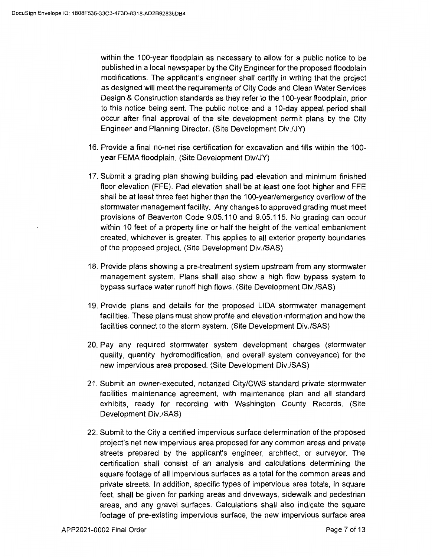within the 100-year floodplain as necessary to allow for a public notice to be published in a local newspaper by the City Engineer for the proposed floodplain modifications. The applicant's engineer shall certify in writing that the project as designed will meet the requirements of City Code and Clean Water Services Design & Construction standards as they refer to the 100-year floodplain, prior to this notice being sent. The public notice and a 10-day appeal period shall occur after final approval of the site development permit plans by the City Engineer and Planning Director. (Site Development Div./JY)

- 16. Provide a final no-net rise certification for excavation and fills within the 100 year FEMA floodplain. (Site Development Div/JY)
- 17. Submit a grading plan showing building pad elevation and minimum finished floor elevation (FFE). Pad elevation shall be at least one foot higher and FFE shall be at least three feet higher than the 100-year/emergency overflow of the stormwater management facility. Any changes to approved grading must meet provisions of Beaverton Code 9.05.110 and 9.05.115. No grading can occur within 10 feet of a property line or half the height of the vertical embankment created, whichever is greater. This applies to all exterior property boundaries of the proposed project. (Site Development Div./SAS)
- 18. Provide plans showing a pre-treatment system upstream from any stormwater management system. Plans shall also show a high flow bypass system to bypass surface water runoff high flows. (Site Development Div./SAS)
- 19. Provide plans and details for the proposed LIDA stormwater management facilities. These plans must show profile and elevation information and how the facilities connect to the storm system. (Site Development Div./SAS)
- 20. Pay any required stormwater system development charges (stormwater quality, quantity, hydromodification, and overall system conveyance) for the new impervious area proposed. (Site Development Div./SAS)
- 21. Submit an owner-executed, notarized City/CWS standard private stormwater facilities maintenance agreement, with maintenance plan and all standard exhibits, ready for recording with Washington County Records. (Site Development Div./SAS)
- 22. Submit to the City a certified impervious surface determination of the proposed project's net new impervious area proposed for any common areas and private streets prepared by the applicant's engineer, architect, or surveyor. The certification shall consist of an analysis and calculations determining the square footage of all impervious surfaces as a total for the common areas and private streets. In addition, specific types of impervious area totals, in square feet, shall be given for parking areas and driveways, sidewalk and pedestrian areas, and any gravel surfaces. Calculations shall also indicate the square footage of pre-existing impervious surface, the new impervious surface area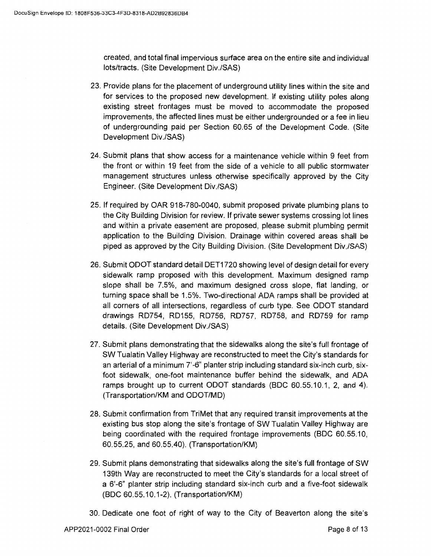created, and total final impervious surface area on the entire site and individual lots/tracts. (Site Development Div./SAS)

- 23. Provide plans for the placement of underground utility lines within the site and for services to the proposed new development. If existing utility poles along existing street frontages must be moved to accommodate the proposed improvements, the affected lines must be either undergrounded or a fee in lieu of undergrounding paid per Section 60.65 of the Development Code. (Site Development Div./SAS)
- 24. Submit plans that show access for a maintenance vehicle within 9 feet from the front or within 19 feet from the side of a vehicle to all public stormwater management structures unless otherwise specifically approved by the City Engineer. (Site Development Div./SAS)
- 25. If required by OAR 918-780-0040, submit proposed private plumbing plans to the City Building Division for review. If private sewer systems crossing lot lines and within a private easement are proposed, please submit plumbing permit application to the Building Division. Drainage within covered areas shall be piped as approved by the City Building Division. (Site Development Div./SAS)
- 26. Submit ODOT standard detail DET1720 showing level of design detail for every sidewalk ramp proposed with this development. Maximum designed ramp slope shall be 7.5%, and maximum designed cross slope, flat landing, or turning space shall be 1.5%. Two-directional ADA ramps shall be provided at all corners of all intersections, regardless of curb type. See ODOT standard drawings RD754, RD155, RD756, RD757, RD758, and RD759 for ramp details. (Site Development Div./SAS)
- 27. Submit plans demonstrating that the sidewalks along the site's full frontage of SW Tualatin Valley Highway are reconstructed to meet the City's standards for an arterial of a minimum 7'-6" planter strip including standard six-inch curb, sixfoot sidewalk, one-foot maintenance buffer behind the sidewalk, and ADA ramps brought up to current ODOT standards (BOC 60.55.10.1, 2, and 4). (Transportation/KM and ODOT/MD)
- 28. Submit confirmation from TriMet that any required transit improvements at the existing bus stop along the site's frontage of SW Tualatin Valley Highway are being coordinated with the required frontage improvements (BOC 60.55.10, 60.55.25, and 60.55.40). (Transportation/KM)
- 29. Submit plans demonstrating that sidewalks along the site's full frontage of SW 139th Way are reconstructed to meet the City's standards for a local street of a 6'-6" planter strip including standard six-inch curb and a five-foot sidewalk (BOC 60.55.10.1-2). (Transportation/KM)
- 30. Dedicate one foot of right of way to the City of Beaverton along the site's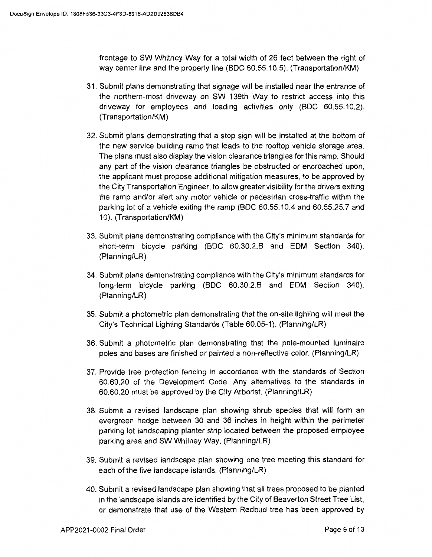frontage to SW Whitney Way for a total width of 26 feet between the right of way center line and the property line (BOC 60.55.10.5). (Transportation/KM)

- 31. Submit plans demonstrating that signage will be installed near the entrance of the northern-most driveway on SW 139th Way to restrict access into this driveway for employees and loading activities only (BOC 60.55.10.2). (Transportation/KM)
- 32. Submit plans demonstrating that a stop sign will be installed at the bottom of the new service building ramp that leads to the rooftop vehicle storage area. The plans must also display the vision clearance triangles for this ramp. Should any part of the vision clearance triangles be obstructed or encroached upon, the applicant must propose additional mitigation measures, to be approved by the City Transportation Engineer, to allow greater visibility for the drivers exiting the ramp and/or alert any motor vehicle or pedestrian cross-traffic within the parking lot of a vehicle exiting the ramp (BOC 60.55.10.4 and 60.55.25. 7 and 10). (Transportation/KM)
- 33. Submit plans demonstrating compliance with the City's minimum standards for short-term bicycle parking (BOC 60.30.2.B and EDM Section 340). (Planning/LR)
- 34. Submit plans demonstrating compliance with the City's minimum standards for long-term bicycle parking (BOC 60.30.2.B and EDM Section 340). (Planning/LR)
- 35. Submit a photometric plan demonstrating that the on-site lighting will meet the City's Technical Lighting Standards (Table 60.05-1). (Planning/LR)
- 36. Submit a photometric plan demonstrating that the pole-mounted luminaire poles and bases are finished or painted a non-reflective color. (Planning/LR)
- 37. Provide tree protection fencing in accordance with the standards of Section 60.60.20 of the Development Code. Any alternatives to the standards in 60.60.20 must be approved by the City Arborist. (Planning/LR)
- 38. Submit a revised landscape plan showing shrub species that will form an evergreen hedge between 30 and 36 inches in height within the perimeter parking lot landscaping planter strip located between the proposed employee parking area and SW Whitney Way. (Planning/LR)
- 39. Submit a revised landscape plan showing one tree meeting this standard for each of the five landscape islands. (Planning/LR)
- 40. Submit a revised landscape plan showing that all trees proposed to be planted in the landscape islands are identified by the City of Beaverton Street Tree List, or demonstrate that use of the Western Redbud tree has been approved by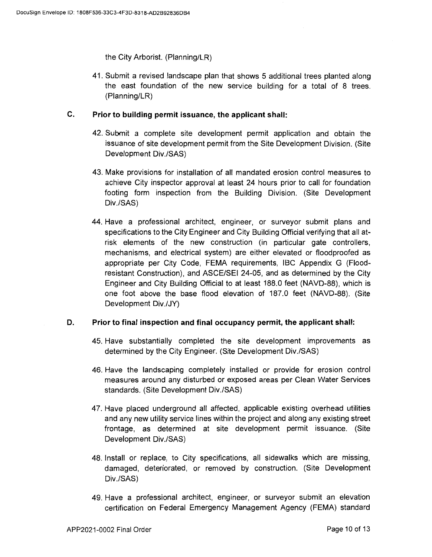the City Arborist. (Planning/LR)

41. Submit a revised landscape plan that shows 5 additional trees planted along the east foundation of the new service building for a total of 8 trees. (Planning/LR)

### **C. Prior to building permit issuance, the applicant shall:**

- 42. Submit a complete site development permit application and obtain the issuance of site development permit from the Site Development Division. (Site Development Div./SAS)
- 43. Make provisions for installation of all mandated erosion control measures to achieve City inspector approval at least 24 hours prior to call for foundation footing form inspection from the Building Division. (Site Development Div./SAS)
- 44. Have a professional architect, engineer, or surveyor submit plans and specifications to the City Engineer and City Building Official verifying that all atrisk elements of the new construction (in particular gate controllers, mechanisms, and electrical system) are either elevated or floodproofed as appropriate per City Code, FEMA requirements, IBC Appendix G (Floodresistant Construction), and ASCE/SEI 24-05, and as determined by the City Engineer and City Building Official to at least 188.0 feet (NAVD-88), which is one foot above the base flood elevation of 187.0 feet (NAVD-88). (Site Development Div./JY)

### **D. Prior to final inspection and final occupancy permit, the applicant shall:**

- 45. Have substantially completed the site development improvements as determined by the City Engineer. (Site Development Div./SAS)
- 46. Have the landscaping completely installed or provide for erosion control measures around any disturbed or exposed areas per Clean Water Services standards. (Site Development Div./SAS)
- 47. Have placed underground all affected, applicable existing overhead utilities and any new utility service lines within the project and along any existing street frontage, as determined at site development permit issuance. (Site Development Div./SAS)
- 48. Install or replace, to City specifications, all sidewalks which are missing, damaged, deteriorated, or removed by construction. (Site Development Div./SAS)
- 49. Have a professional architect, engineer, or surveyor submit an elevation certification on Federal Emergency Management Agency (FEMA) standard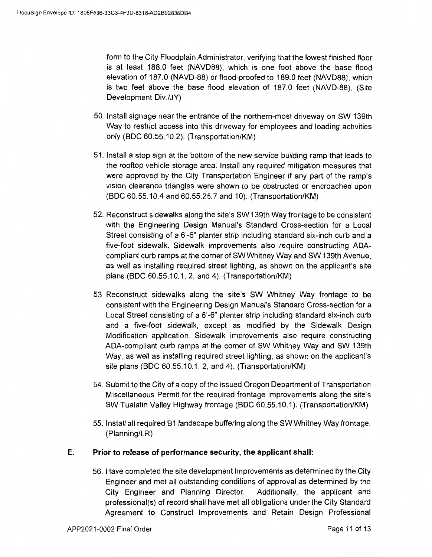form to the City Floodplain Administrator, verifying that the lowest finished floor is at least 188.0 feet (NAVD88), which is one foot above the base flood elevation of 187.0 (NAVD-88) or flood-proofed to 189.0 feet (NAVD88), which is two feet above the base flood elevation of 187.0 feet (NAVD-88). (Site Development Div./JY)

- 50. Install signage near the entrance of the northern-most driveway on SW 139th Way to restrict access into this driveway for employees and loading activities only (BOC 60.55.10.2). (Transportation/KM)
- 51. Install a stop sign at the bottom of the new service building ramp that leads to the rooftop vehicle storage area. Install any required mitigation measures that were approved by the City Transportation Engineer if any part of the ramp's vision clearance triangles were shown to be obstructed or encroached upon (BOC 60.55.10.4 and 60.55.25. 7 and 10). (Transportation/KM)
- 52. Reconstruct sidewalks along the site's SW 139th Way frontage to be consistent with the Engineering Design Manual's Standard Cross-section for a Local Street consisting of a 6'-6" planter strip including standard six-inch curb and a five-foot sidewalk. Sidewalk improvements also require constructing ADAcompliant curb ramps at the corner of SW Whitney Way and SW 139th Avenue, as well as installing required street lighting, as shown on the applicant's site plans (BOC 60.55.10.1, 2, and 4). (Transportation/KM)
- 53. Reconstruct sidewalks along the site's SW Whitney Way frontage to be consistent with the Engineering Design Manual's Standard Cross-section for a Local Street consisting of a 6'-6" planter strip including standard six-inch curb and a five-foot sidewalk, except as modified by the Sidewalk Design Modification application. Sidewalk improvements also require constructing ADA-compliant curb ramps at the corner of SW Whitney Way and SW 139th Way, as well as installing required street lighting, as shown on the applicant's site plans (BOC 60.55.10.1, 2, and 4). (Transportation/KM)
- 54. Submit to the City of a copy of the issued Oregon Department of Transportation Miscellaneous Permit for the required frontage improvements along the site's SW Tualatin Valley Highway frontage (BOC 60.55.10.1 ). (Transportation/KM)
- 55. Install all required B1 landscape buffering along the SW Whitney Way frontage. (Planning/LR)

## **E. Prior to release of performance security, the applicant shall:**

56. Have completed the site development improvements as determined by the City Engineer and met all outstanding conditions of approval as determined by the City Engineer and Planning Director. Additionally, the applicant and professional(s) of record shall have met all obligations under the City Standard Agreement to Construct Improvements and Retain Design Professional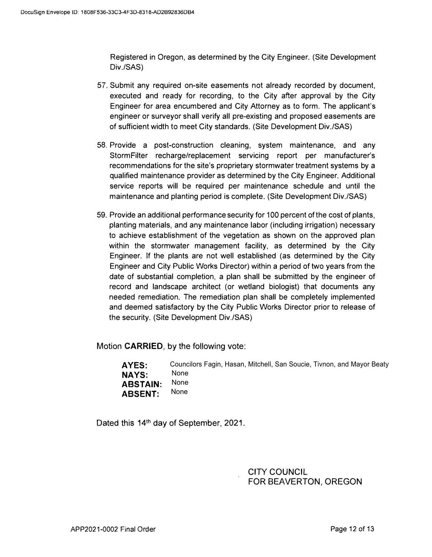Registered in Oregon, as determined by the City Engineer. (Site Development Div./SAS)

- 57. Submit any required on-site easements not already recorded by document, executed and ready for recording, to the City after approval by the City Engineer for area encumbered and City Attorney as to form. The applicant's engineer or surveyor shall verify all pre-existing and proposed easements are of sufficient width to meet City standards. (Site Development Div./SAS)
- 58. Provide a post-construction cleaning, system maintenance, and any StormFilter recharge/replacement servicing report per manufacturer's recommendations for the site's proprietary stormwater treatment systems by a qualified maintenance provider as determined by the City Engineer. Additional service reports will be required per maintenance schedule and until the maintenance and planting period is complete. (Site Development Div./SAS)
- 59. Provide an additional performance security for 100 percent of the cost of plants, planting materials, and any maintenance labor (including irrigation) necessary to achieve establishment of the vegetation as shown on the approved plan within the stormwater management facility, as determined by the City Engineer. If the plants are not well established (as determined by the City Engineer and City Public Works Director) within a period of two years from the date of substantial completion, a plan shall be submitted by the engineer of record and landscape architect (or wetland biologist) that documents any needed remediation. The remediation plan shall be completely implemented and deemed satisfactory by the City Public Works Director prior to release of the security. (Site Development Div./SAS)

Motion **CARRIED,** by the following vote:

**AYES: NAYS: ABSTAIN: ABSENT:**  Councilors Fagin, Hasan, Mitchell, San Soucie, Tivnon, and Mayor Beaty None None None

Dated this 14<sup>th</sup> day of September, 2021.

CITY COUNCIL FOR BEAVERTON, OREGON